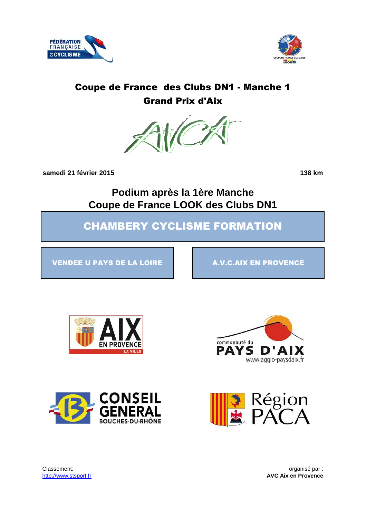



# Coupe de France des Clubs DN1 - Manche 1 Grand Prix d'Aix



**samedi 21 février 2015 138 km**

**Podium après la 1ère Manche Coupe de France LOOK des Clubs DN1**

CHAMBERY CYCLISME FORMATION

VENDEE U PAYS DE LA LOIRE A.V.C.AIX EN PROVENCE







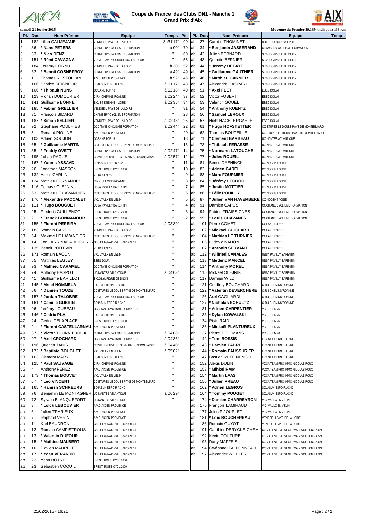



#### **Coupe de France des Clubs DN1 - Manche 1 Grand Prix d'Aix**





| samedi 21 février 2015<br>Moyenne du Premier 39,189 km/h pour 138 km |                |                                                   |                                         |              |     |     |            |                           |                                                                |              |  |
|----------------------------------------------------------------------|----------------|---------------------------------------------------|-----------------------------------------|--------------|-----|-----|------------|---------------------------|----------------------------------------------------------------|--------------|--|
| PI.                                                                  | Dos            | <b>Nom Prénom</b>                                 | <b>Equipe</b>                           | <b>Temps</b> | Pts | PI. | <b>Dos</b> | <b>Nom Prénom</b>         | <b>Equipe</b>                                                  | <b>Temps</b> |  |
| $\mathbf{1}$                                                         | 182            | Lilian CALMEJANE                                  | VENDEE U PAYS DE LA LOIRE               | 3h31'17      | 90  | ab  | 27         | Camille THOMINET          | BREST IROISE CYCL.2000                                         |              |  |
| $\overline{2}$                                                       | 36             | <b>Nans PETERS</b>                                | CHAMBERY CYCLISME FORMATION             | à 00'        | 70  | ab  | 34         | <b>Benjamin JASSERAND</b> | CHAMBERY CYCLISME FORMATION                                    |              |  |
| 3                                                                    | 33             | <b>Nico DENZ</b>                                  | CHAMBERY CYCLISME FORMATION             | п            | 60  | ab  | 42         | Julien BERNARD            | S.C.OLYMPIQUE DE DIJON                                         |              |  |
| $\overline{4}$                                                       | 15'            | Rémi CAVAGNA                                      | VCCA TEAM PRO IMMO NICOLAS ROUX         | п            | 55  | lab | 43         | Quentin BERNIER           | S.C.OLYMPIQUE DE DIJON                                         |              |  |
| 5                                                                    | 184            | Jeremy CORNU                                      | VENDEE U PAYS DE LA LOIRE               | à 30'        | 52  | lab | 44         | Jeremy DEFAYE             | S.C.OLYMPIQUE DE DIJON                                         |              |  |
| 6                                                                    | 32             | <b>Benoit COSNEFROY</b>                           | CHAMBERY CYCLISME FORMATION             | à 49'        | 49  | lab | 45         | <b>Guillaume GAUTHIER</b> | S.C.OLYMPIQUE DE DIJON                                         |              |  |
| $\overline{7}$                                                       | 1              | Thomas ROSTOLLAN                                  | A.V.C.AIX EN PROVENCE                   | à 52'        | 46  | ab  | 46         | <b>Matthieu GARNIER</b>   | S.C.OLYMPIQUE DE DIJON                                         |              |  |
| 8                                                                    | 166            | <b>Fabrice SEIGNEUR</b>                           | SOJASUN ESPOIR ACNC                     | à 01'17'     | 43  | lab | 47         | Alexandre GASPARI         | S.C.OLYMPIQUE DE DIJON                                         |              |  |
| 9                                                                    | 106            | Thibault NUNS                                     | OCEANE TOP 16                           | à 02'18'     | 40  | ab  | 51         | Axel FLET                 | <b>ESEG DOUAI</b>                                              |              |  |
| 10                                                                   | 123            | Florian DUMOURIER                                 | C.R.4 CHEMINS/ROANNE                    | à 02'24'     | 37  | lab | 52         | Victor FOBERT             | <b>ESEG DOUAI</b>                                              |              |  |
| 11                                                                   | 141            | Guillaume BONNET                                  | E.C. ST ETIENNE - LOIRE                 | à 02'35'     | 34  | lab | 53         | <b>Valentin GOUEL</b>     | ESEG DOUAI                                                     |              |  |
| 12                                                                   | 185            | Fabien GRELLIER                                   | VENDEE U PAYS DE LA LOIRE               |              | 31  | ab  | 54         | Anthony KUENTZ            | <b>ESEG DOUAI</b>                                              |              |  |
| 13                                                                   | 31             | <b>Francois BIDARD</b>                            | CHAMBERY CYCLISME FORMATION             | H.           | 28  | ab  | 56         | <b>Samuel LEROUX</b>      | <b>ESEG DOUA</b>                                               |              |  |
| 14                                                                   | 187            | <b>Simon SELLIER</b>                              | VENDEE U PAYS DE LA LOIRE               | à 02'43'     | 25  | ab  | 57         | Niels NACHTERGAELE        | ESEG DOUAI                                                     |              |  |
| 15                                                                   | 92             | Stéphane POULHIES                                 | OCCITANE CYCLISME FORMATION             | à 02'44'     | 22  | ab  | 61         | <b>Hugo HOFSTETTER</b>    | CC ETUPES LE DOUBS PAYS DE MONTBELIARD                         |              |  |
| 16                                                                   | 5              | Renaud PIOLINE                                    | A.V.C.AIX EN PROVENCE                   |              | 20  | ab  | 62         | Thomas BOUTEILLE          | CC ETUPES LE DOUBS PAYS DE MONTBELIARD                         |              |  |
| 17                                                                   | 103            | Adrien GOUJON                                     | OCEANE TOP 16                           | Ħ            | 18  | ab  | 71         | <b>Clement BARBEAU</b>    | UC NANTES ATLANTIQUE                                           |              |  |
| 18                                                                   | 65             | <b>Guillaume MARTIN</b>                           | CC ETUPES LE DOUBS PAYS DE MONTBELIARD  | н            | 16  | lab | 73         | <b>Thibault FERASSE</b>   | UC NANTES ATLANTIQUE                                           |              |  |
| 19                                                                   | 35             | <b>Freddy OVETT</b>                               | CHAMBERY CYCLISME FORMATION             | à 02'47'     | 14  | lab | 75         | <b>Normann LATOUCHE</b>   | UC NANTES ATLANTIQUE                                           |              |  |
| 20                                                                   | 195            | Johan PAQUE                                       | CC VILLENEUVE ST GERMAIN SOISSONS AISNE | à 02'57      | 12  | lab | 77         | <b>Jules ROUEIL</b>       | UC NANTES ATLANTIQUE                                           |              |  |
| 21                                                                   | 167            | Yannis YSSAAD                                     | SOJASUN ESPOIR ACNC                     |              | 11  | ab  | 81         | <b>Benoit DAENINCK</b>    | CC NOGENT / OISE                                               |              |  |
| 22                                                                   | 26             | Jonathan MASSON                                   | BREST IROISE CYCL.2000                  | Ħ            | 10  | ab  | 82         | ' Adrien GAREL            | CC NOGENT / OISE                                               |              |  |
| 23                                                                   | 132            | <b>Alexis CARLIN</b>                              | VC ROUEN 76                             | п            | 9   | ab  | 83         | <b>Marc FOURNIER</b>      | CC NOGENT / OISE                                               |              |  |
| 24                                                                   | 124            | Mathieu FERNANDES                                 | C.R.4 CHEMINS/ROANNE                    | Ħ            | 8   | ab  | 84         | <b>Jérémy LECROQ</b>      | CC NOGENT / OISE                                               |              |  |
| 25                                                                   | 116            | <b>Tomasz OLEJNIK</b>                             | USSA PAVILLY BARENTIN                   | $\mathbf{u}$ | 7   | lab | 85         | <b>Justin MOTTIER</b>     | CC NOGENT / OISE                                               |              |  |
| 26                                                                   | 63             | Mathieu LE LAVANDIER                              | CC ETUPES LE DOUBS PAYS DE MONTBELIARD  |              | 6   | ab  | 86         | <b>Félix POUILLY</b>      | CC NOGENT / OISE                                               |              |  |
| 27                                                                   | 176            | Alexandre PACCALET                                | V.C. VAULX EN VELIN                     | п            | 5   | lab | 87         | Julien VAN HAVERBEKE      | CC NOGENT / OISE                                               |              |  |
| 28                                                                   | 111            | <b>Hugo BOUGUET</b>                               | USSA PAVILLY BARENTIN                   | Ĥ,           | 4   | lab | 91         | Damien CAPUS              | OCCITANE CYCLISME FORMATION                                    |              |  |
| 29                                                                   | 25             | Frederic GUILLEMOT                                | BREST IROISE CYCL.2000                  | п            | 3   | ab  | 94         | <b>Fabien FRAISSIGNES</b> | OCCITANE CYCLISME FORMATION                                    |              |  |
| 30                                                                   | 21             | <b>Franck BONNAMOUR</b>                           | BREST IROISE CYCL.2000                  | Ħ            | 2   | ab  | 95         | <b>Louis CHAVANES</b>     | OCCITANE CYCLISME FORMATION                                    |              |  |
| 31                                                                   | 155            | <b>Florent PEREIRA</b>                            | VCCA TEAM PRO IMMO NICOLAS ROUX         | à 03'39'     |     | ab  | 101        | Pierre COMET              | OCEANE TOP 16                                                  |              |  |
| 32                                                                   | 183            | Romain CARDIS                                     |                                         |              |     | ab  | 102        | <b>Mickael GUICHARD</b>   |                                                                |              |  |
| 33                                                                   | 64             | Maxime LE LAVANDIER                               | VENDEE U PAYS DE LA LOIRE               | п            |     | lab | 104        | <b>Mathias LE TURNIER</b> | OCEANE TOP 16                                                  |              |  |
| 34                                                                   | 14             | JON LARRINAGA MUGURUZ GSC BLAGNAC - VELO SPORT 31 | CC ETUPES LE DOUBS PAYS DE MONTBELIARD  |              |     | ab  | 105        | udovic NADON_             | OCEANE TOP 16                                                  |              |  |
|                                                                      | 135            | <b>Benoit POITEVIN</b>                            |                                         |              |     |     | 107        |                           | OCEANE TOP 16                                                  |              |  |
| 35                                                                   | 17'            |                                                   | VC ROUEN 76                             | Ĥ,           |     | ab  | 112        | <b>Antonin SERVANT</b>    | OCEANE TOP 16                                                  |              |  |
| 36                                                                   | 55             | Romain BACON                                      | V.C. VAULX EN VELIN                     | Ĥ,           |     | ab  |            | <b>Wilfried CANALES</b>   | USSA PAVILLY BARENTIN                                          |              |  |
| 37                                                                   | 93             | <b>Matthias LEGLEY</b>                            | <b>ESEG DOUAI</b>                       |              |     | lab | 113        | <b>Médéric MANCEL</b>     | USSA PAVILLY BARENTIN                                          |              |  |
| 38                                                                   | 74             | Mathieu CARAMEL                                   | OCCITANE CYCLISME FORMATION             |              |     | ab  | 114        | <b>Anthony MOREL</b>      | USSA PAVILLY BARENTIN                                          |              |  |
| 39                                                                   |                | Anthony HASPOT                                    | UC NANTES ATLANTIQUE                    | à 04'03'     |     | lab | 115        | Mickael OLEJNIK           | USSA PAVILLY BARENTIN                                          |              |  |
| 40                                                                   | 41             | Guillaume BARILLOT                                | S.C.OLYMPIQUE DE DIJON                  |              |     | ab  | 117        | Damian WILD               | USSA PAVILLY BARENTIN                                          |              |  |
| 41                                                                   | 145            | <b>Aksel NOMMELA</b>                              | E.C. ST ETIENNE - LOIRE                 |              |     | ab  | 121        | Geoffrey BOUCHARD         | C.R.4 CHEMINS/ROANNE                                           |              |  |
| 42                                                                   | 66             | <b>Damien TOUZE</b>                               | CC ETUPES LE DOUBS PAYS DE MONTBELIARD  | Ħ            |     | lab | 122        | Valentin DEVERCHERE       | C.R.4 CHEMINS/ROANNE                                           |              |  |
| 43                                                                   | 157            | <b>Jordan TALOBRE</b>                             | VCCA TEAM PRO IMMO NICOLAS ROUX         |              |     | ab  | 126        | Axel GAGLIARDI            | C.R.4 CHEMINS/ROANNE                                           |              |  |
| 44                                                                   | 161            | <b>Camille GUERIN</b>                             | SOJASUN ESPOIR ACNC                     | п            |     | ab  | 127        | <b>Nicholas SCHULTZ</b>   | C.R.4 CHEMINS/ROANNE                                           |              |  |
| 45                                                                   | 96             | Jérémy LOUBEAU                                    | OCCITANE CYCLISME FORMATION             |              |     | ab  | 131        | <b>Adrien CARPENTIER</b>  | VC ROUEN 76                                                    |              |  |
| 46                                                                   | 146            | ' Cedric PLA                                      | E.C. ST ETIENNE - LOIRE                 | Ħ            |     | lab | 133        | <b>Dylan KOWALSKI</b>     | VC ROUEN 76                                                    |              |  |
| 47                                                                   | 24             | Cedric DELAPLACE                                  | BREST IROISE CYCL.2000                  |              |     | lab |            | 134 Risto RAID            | VC ROUEN 76                                                    |              |  |
| 48                                                                   | $\overline{2}$ | <b>Florent CASTELLARNAU</b>                       | A.V.C.AIX EN PROVENCE                   | п            |     | ab  | 136        | Mickaël PLANTUREUX        | VC ROUEN 76                                                    |              |  |
| 49                                                                   | 37             | <b>Victor TOURNIEROUX</b>                         | CHAMBERY CYCLISME FORMATION             | à 04'08'     |     | ab  | 137        | <b>Pierre TIELEMANS</b>   | VC ROUEN 76                                                    |              |  |
| 50                                                                   | 97             | <b>Axel CROCHARD</b>                              | OCCITANE CYCLISME FORMATION             | à 04'36'     |     | ab  | 142        | <b>Tom BOSSIS</b>         | E.C. ST ETIENNE - LOIRE                                        |              |  |
| 51                                                                   | 196            | <b>Quentin TANIS</b>                              | CC VILLENEUVE ST GERMAIN SOISSONS AISNE | à 04'40'     |     | ab  | 143        | <b>Damien FABRE</b>       | E.C. ST ETIENNE - LOIRE                                        |              |  |
| 52                                                                   | 172            | <b>Baptiste BOUCHET</b>                           | V.C. VAULX EN VELIN                     | à 05'02'     |     | ab  | 144        | <b>Romain FAUSSURIER</b>  | E.C. ST ETIENNE - LOIRE                                        |              |  |
| 53                                                                   | 163            | <b>Clement MARY</b>                               | SOJASUN ESPOIR ACNC                     |              |     | ab  | 147        | <b>Bastien RUFFINENGO</b> | E.C. ST ETIENNE - LOIRE                                        |              |  |
| 54                                                                   | 125            | * Paul SAUVAGE                                    | C.R.4 CHEMINS/ROANNE                    | п            |     | ab  | 152        | Alexis DULIN              | VCCA TEAM PRO IMMO NICOLAS ROUX                                |              |  |
| 55                                                                   | 4              | Anthony PEREZ                                     | A.V.C.AIX EN PROVENCE                   | Ħ            |     | ab  | 153        | <b>Mihkel RAIM</b>        | VCCA TEAM PRO IMMO NICOLAS ROUX                                |              |  |
| 56                                                                   | 173            | <b>Thomas BOUVET</b>                              | V.C. VAULX EN VELIN                     | п            |     | ab  | 154        | <b>Martin LAAS</b>        | VCCA TEAM PRO IMMO NICOLAS ROUX                                |              |  |
| 57                                                                   | 67             | <b>Léo VINCENT</b>                                | CC ETUPES LE DOUBS PAYS DE MONTBELIARD  |              |     | ab  | 156        | Julien PREAU              | VCCA TEAM PRO IMMO NICOLAS ROUX                                |              |  |
| 58                                                                   | 165            | <b>Hamish SCHREURS</b>                            | SOJASUN ESPOIR ACNC                     |              |     | ab  | 162        | Adrien LEGROS             | SOJASUN ESPOIR ACNC                                            |              |  |
| 59                                                                   | 76             | Benjamin LE MONTAGNER                             | UC NANTES ATLANTIQUE                    | à 06'29'     |     | ab  | 164        | * Tommy POUGET            | SOJASUN ESPOIR ACNC                                            |              |  |
| 60                                                                   | 72             | Sylvain BLANQUEFORT                               | UC NANTES ATLANTIQUE                    |              |     | ab  | 174        | <b>Damien CHARREYRON</b>  | V.C. VAULX EN VELIN                                            |              |  |
| ab                                                                   | 3              | <b>Loïck LEBOUVIER</b>                            | A.V.C.AIX EN PROVENCE                   |              |     | ab  | 175        | François LAMIRAUD         | V.C. VAULX EN VELIN                                            |              |  |
| ab                                                                   | 6              | Julien TRARIEUX                                   | A.V.C.AIX EN PROVENCE                   |              |     | ab  | 177        | Jules PIJOURLET           | V.C. VAULX EN VELIN                                            |              |  |
| ab                                                                   | $\overline{7}$ | Raphaël VERINI                                    | A.V.C.AIX EN PROVENCE                   |              |     | ab  | 181        | * Loic BOUCHEREAU         | VENDEE U PAYS DE LA LOIRE                                      |              |  |
| ab                                                                   | 11             | Karl BAUDRON                                      | GSC BLAGNAC - VELO SPORT 31             |              |     | ab  | 186        | Romain GUYOT              | VENDEE U PAYS DE LA LOIRE                                      |              |  |
| ab                                                                   | 12             | Romain CAMPISTROUS                                | GSC BLAGNAC - VELO SPORT 31             |              |     | ab  | 191        |                           | Gauthier DERYCKE CHEMINCC VILLENEUVE ST GERMAIN SOISSONS AISNE |              |  |
| ab                                                                   | 13             | <b>Valentin DUFOUR</b>                            | GSC BLAGNAC - VELO SPORT 31             |              |     | lab | 192        | Kévin COUTURE             | CC VILLENEUVE ST GERMAIN SOISSONS AISNE                        |              |  |
| ab                                                                   | 15             | <b>Mathieu MALBERT</b>                            | GSC BLAGNAC - VELO SPORT 31             |              |     | lab | 193        | Dany MAFFEIS              | CC VILLENEUVE ST GERMAIN SOISSONS AISNE                        |              |  |
| ab                                                                   | 16             | Flavien MAURELET                                  | GSC BLAGNAC - VELO SPORT 31             |              |     | ab  | 194        | Gwénnaël TALLONNEAU       | CC VILLENEUVE ST GERMAIN SOISSONS AISNE                        |              |  |
| ab                                                                   | 17             | ' Yoan VERARDO                                    | GSC BLAGNAC - VELO SPORT 31             |              |     | lab | 197        | Alexander WOHLER          | CC VILLENEUVE ST GERMAIN SOISSONS AISNE                        |              |  |
| ab                                                                   | 22             | Yann BOTREL                                       | BREST IROISE CYCL.2000                  |              |     |     |            |                           |                                                                |              |  |
| ab                                                                   | 23             | Sebastien COQUIL                                  | BREST IROISE CYCL.2000                  |              |     |     |            |                           |                                                                |              |  |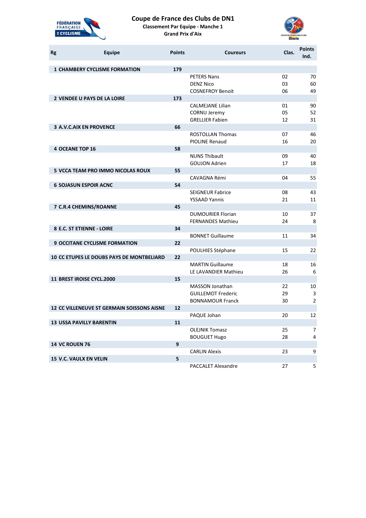

# **Coupe de France des Clubs de DN1**

**Classement Par Equipe - Manche 1 Grand Prix d'Aix**



| <b>Rg</b> | <b>Equipe</b>                                     | <b>Points</b>     | <b>Coureurs</b>                                 | Clas.    | <b>Points</b><br>Ind. |
|-----------|---------------------------------------------------|-------------------|-------------------------------------------------|----------|-----------------------|
|           | <b>1 CHAMBERY CYCLISME FORMATION</b>              | 179               |                                                 |          |                       |
|           |                                                   |                   | <b>PETERS Nans</b>                              | 02       | 70                    |
|           |                                                   |                   | <b>DENZ Nico</b>                                | 03       | 60                    |
|           |                                                   |                   | <b>COSNEFROY Benoit</b>                         | 06       | 49                    |
|           | <b>2 VENDEE U PAYS DE LA LOIRE</b>                | 173               |                                                 |          |                       |
|           |                                                   |                   | <b>CALMEJANE Lilian</b>                         | 01       | 90                    |
|           |                                                   |                   | <b>CORNU Jeremy</b>                             | 05       | 52                    |
|           |                                                   |                   | <b>GRELLIER Fabien</b>                          | 12       | 31                    |
|           | <b>3 A.V.C.AIX EN PROVENCE</b>                    | 66                |                                                 |          |                       |
|           |                                                   |                   | <b>ROSTOLLAN Thomas</b>                         | 07       | 46                    |
|           |                                                   |                   | <b>PIOLINE Renaud</b>                           | 16       | 20                    |
|           | <b>4 OCEANE TOP 16</b>                            | 58                | <b>NUNS Thibault</b>                            | 09       | 40                    |
|           |                                                   |                   | <b>GOUJON Adrien</b>                            | 17       | 18                    |
|           | <b>5 VCCA TEAM PRO IMMO NICOLAS ROUX</b>          | 55                |                                                 |          |                       |
|           |                                                   |                   | CAVAGNA Rémi                                    | 04       | 55                    |
|           | <b>6 SOJASUN ESPOIR ACNC</b>                      | 54                |                                                 |          |                       |
|           |                                                   |                   | <b>SEIGNEUR Fabrice</b>                         | 08       | 43                    |
|           |                                                   |                   | <b>YSSAAD Yannis</b>                            | 21       | 11                    |
|           | 7 C.R.4 CHEMINS/ROANNE                            | 45                |                                                 |          |                       |
|           |                                                   |                   | <b>DUMOURIER Florian</b>                        | 10       | 37                    |
|           |                                                   |                   | <b>FERNANDES Mathieu</b>                        | 24       | 8                     |
|           | 8 E.C. ST ETIENNE - LOIRE                         | 34                |                                                 |          |                       |
|           |                                                   |                   | <b>BONNET Guillaume</b>                         | 11       | 34                    |
|           | <b>9 OCCITANE CYCLISME FORMATION</b>              | 22                |                                                 |          |                       |
|           |                                                   |                   | POULHIES Stéphane                               | 15       | 22                    |
|           | <b>10 CC ETUPES LE DOUBS PAYS DE MONTBELIARD</b>  | 22                |                                                 |          |                       |
|           |                                                   |                   | <b>MARTIN Guillaume</b><br>LE LAVANDIER Mathieu | 18<br>26 | 16<br>6               |
|           | <b>11 BREST IROISE CYCL.2000</b>                  | 15                |                                                 |          |                       |
|           |                                                   |                   | <b>MASSON Jonathan</b>                          | 22       | 10                    |
|           |                                                   |                   | <b>GUILLEMOT Frederic</b>                       | 29       | 3                     |
|           |                                                   |                   | <b>BONNAMOUR Franck</b>                         | 30       | $\overline{2}$        |
|           | <b>12 CC VILLENEUVE ST GERMAIN SOISSONS AISNE</b> | $12 \overline{ }$ |                                                 |          |                       |
|           |                                                   |                   | PAQUE Johan                                     | 20       | 12                    |
|           | <b>13 USSA PAVILLY BARENTIN</b>                   | 11                |                                                 |          |                       |
|           |                                                   |                   | <b>OLEJNIK Tomasz</b>                           | 25       | 7                     |
|           |                                                   |                   | <b>BOUGUET Hugo</b>                             | 28       | 4                     |
|           | <b>14 VC ROUEN 76</b>                             | 9                 |                                                 |          |                       |
|           |                                                   |                   | <b>CARLIN Alexis</b>                            | 23       | 9                     |
|           | <b>15 V.C. VAULX EN VELIN</b>                     | 5                 |                                                 |          |                       |
|           |                                                   |                   | <b>PACCALET Alexandre</b>                       | 27       | 5                     |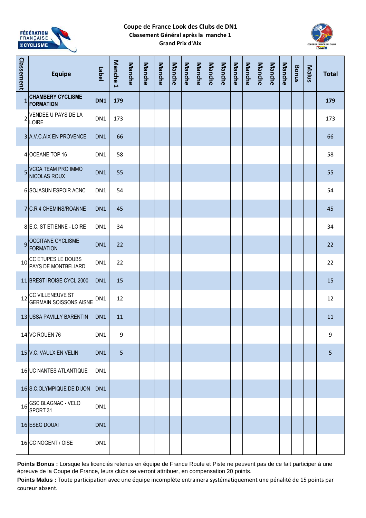

## **Coupe de France Look des Clubs de DN1 Classement Général après la manche 1 Grand Prix d'Aix**



| Classement   | <b>Equipe</b>                                     | Label           | <b>Manche</b><br>$\overline{\phantom{0}}$ | Manche | Manche | Manche | Manche | Manche | Manche | Manche | Manche | <b>Manche</b> | Manche | Manche | Manche | Manche | <b>Bonus</b> | Malus | <b>Total</b> |
|--------------|---------------------------------------------------|-----------------|-------------------------------------------|--------|--------|--------|--------|--------|--------|--------|--------|---------------|--------|--------|--------|--------|--------------|-------|--------------|
| $\mathbf{1}$ | <b>CHAMBERY CYCLISME</b><br><b>FORMATION</b>      | DN <sub>1</sub> | 179                                       |        |        |        |        |        |        |        |        |               |        |        |        |        |              |       | 179          |
|              | 2 VENDEE U PAYS DE LA<br>LOIRE                    | DN1             | 173                                       |        |        |        |        |        |        |        |        |               |        |        |        |        |              |       | 173          |
|              | 3 A.V.C.AIX EN PROVENCE                           | DN <sub>1</sub> | 66                                        |        |        |        |        |        |        |        |        |               |        |        |        |        |              |       | 66           |
|              | 4 OCEANE TOP 16                                   | DN <sub>1</sub> | 58                                        |        |        |        |        |        |        |        |        |               |        |        |        |        |              |       | 58           |
|              | 5 VCCA TEAM PRO IMMO<br><b>NICOLAS ROUX</b>       | DN <sub>1</sub> | 55                                        |        |        |        |        |        |        |        |        |               |        |        |        |        |              |       | 55           |
|              | <b>6 SOJASUN ESPOIR ACNC</b>                      | DN1             | 54                                        |        |        |        |        |        |        |        |        |               |        |        |        |        |              |       | 54           |
|              | 7 C.R.4 CHEMINS/ROANNE                            | DN <sub>1</sub> | 45                                        |        |        |        |        |        |        |        |        |               |        |        |        |        |              |       | 45           |
|              | 8 E.C. ST ETIENNE - LOIRE                         | DN <sub>1</sub> | 34                                        |        |        |        |        |        |        |        |        |               |        |        |        |        |              |       | 34           |
|              | 9 OCCITANE CYCLISME<br><b>FORMATION</b>           | DN <sub>1</sub> | 22                                        |        |        |        |        |        |        |        |        |               |        |        |        |        |              |       | 22           |
| 10           | CC ETUPES LE DOUBS<br>PAYS DE MONTBELIARD         | DN1             | 22                                        |        |        |        |        |        |        |        |        |               |        |        |        |        |              |       | 22           |
|              | 11 BREST IROISE CYCL.2000                         | DN <sub>1</sub> | 15                                        |        |        |        |        |        |        |        |        |               |        |        |        |        |              |       | 15           |
| 12           | CC VILLENEUVE ST<br><b>GERMAIN SOISSONS AISNE</b> | DN1             | 12                                        |        |        |        |        |        |        |        |        |               |        |        |        |        |              |       | 12           |
|              | 13 USSA PAVILLY BARENTIN                          | DN <sub>1</sub> | 11                                        |        |        |        |        |        |        |        |        |               |        |        |        |        |              |       | 11           |
|              | 14 VC ROUEN 76                                    | DN1             | 9                                         |        |        |        |        |        |        |        |        |               |        |        |        |        |              |       | 9            |
|              | 15 V.C. VAULX EN VELIN                            | DN <sub>1</sub> | 5                                         |        |        |        |        |        |        |        |        |               |        |        |        |        |              |       | 5            |
|              | 16 UC NANTES ATLANTIQUE                           | DN1             |                                           |        |        |        |        |        |        |        |        |               |        |        |        |        |              |       |              |
|              | 16 S.C.OLYMPIQUE DE DIJON                         | DN <sub>1</sub> |                                           |        |        |        |        |        |        |        |        |               |        |        |        |        |              |       |              |
| 16           | <b>GSC BLAGNAC - VELO</b><br>SPORT 31             | DN1             |                                           |        |        |        |        |        |        |        |        |               |        |        |        |        |              |       |              |
|              | 16 ESEG DOUAI                                     | DN <sub>1</sub> |                                           |        |        |        |        |        |        |        |        |               |        |        |        |        |              |       |              |
|              | 16 CC NOGENT / OISE                               | DN1             |                                           |        |        |        |        |        |        |        |        |               |        |        |        |        |              |       |              |

Points Bonus : Lorsque les licenciés retenus en équipe de France Route et Piste ne peuvent pas de ce fait participer à une épreuve de la Coupe de France, leurs clubs se verront attribuer, en compensation 20 points.

**Points Malus :** Toute participation avec une équipe incomplète entrainera systématiquement une pénalité de 15 points par coureur absent.